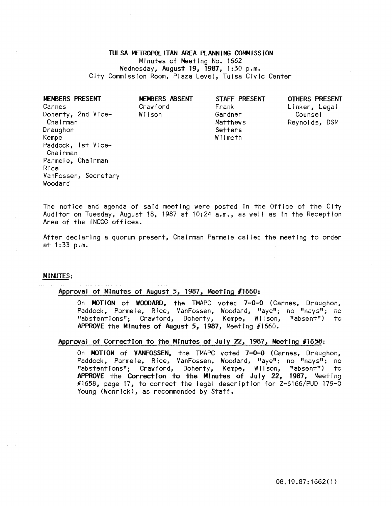# TULSA METROPOLITAN AREA PLANNING COMMISSION Minutes of Meeting No. 1662 Wednesday, August 19, 1981, 1:30 p.m. City Commission Room, Plaza Level, Tulsa Civic Center

| MEMBERS PRESENT<br>Carnes      | MEMBERS ABSENT<br>Crawford | STAFF PRESENT<br>Frank | OTHERS PRESENT<br>Linker, Legal |
|--------------------------------|----------------------------|------------------------|---------------------------------|
| Doherty, 2nd Vice-<br>Chairman | Wilson                     | Gardner<br>Matthews    | Counsel                         |
| Draughon                       |                            | Setters                | Reynolds, DSM                   |
| Kempe                          |                            | Wilmoth                |                                 |
| Paddock, 1st Vice-<br>Chairman |                            |                        |                                 |
| Parmele, Chairman              |                            |                        |                                 |
| Rice                           |                            |                        |                                 |
| VanFossen, Secretary           |                            |                        |                                 |

The notice and agenda of said meeting were posted In the Office of the City Auditor on Tuesday, August 18, 1987 at 10:24 a.m., as wei! as In the Reception Area of the INCOG offices.

After declaring a quorum present, Chairman Parmele cal led the meeting to order at 1 :33 p.m.

# MINJTES:

Woodard

### Approval of Minutes of August 5, 1981, Meeting *11660:*

On MOTION of WOODARD, the TMAPC voted 7-0-0 (Carnes, Draughon, Paddock, Parmele, Rice, VanFossen, Woodard, "aye"; no "nays"; no "abstentions"; Crawford, Doherty, Kempe, Wilson, "absent") to APPROVE the Minutes of August 5, 1987, Meeting #1660.

## Approvai of Correction to the Minutes of Juiy 22, 1987, Meeting *11658:*

On MOTION of VANFOSSEN, the TMAPC voted 7-0-0 (Carnes, Draughon, Paddock, Parmele, Rice, VanFossen, Woodard, "aye"; no "nays"; no "abstent Ions"; Crawford, Doherty, Kempe, W II son, "absent") to APPROVE the Correction to the Minutes of July 22, 1987, Meeting #1658, page 17, to correct the legal description for Z-6166/PUD 179-0 Young (Wenrick), as recommended by Staff.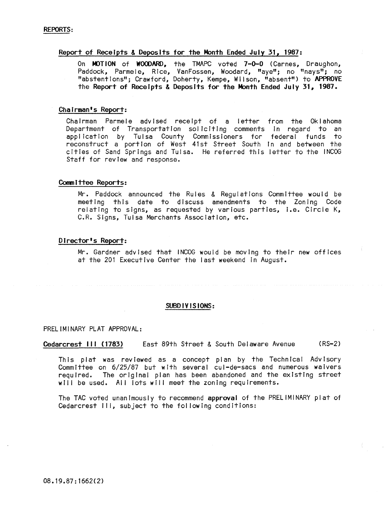## Report of Receipts & Deposits for the Month Ended July 31, 1987:

On MOTION of WOODARD, the TMAPC voted 7-0-0 (Carnes, Draughon, Paddock, Parmele, Rice, VanFossen, Woodard, "aye"; no "nays"; no "abstentions"; Crawford, Doherty, Kempe, Wilson, "absent") to APPROVE the Report of Receipts & Deposits for the Month Ended July 31, 1987.

## Chairman's Report:

ChaIrman Parmele advIsed receipt of a letter from the Oklahoma Department of Transportation soliciting comments in regard to an application by Tulsa County Commissioners for federal funds to reconstruct a portion of West 41st Street South in and between the citIes of Sand Springs and Tulsa. He referred this letter to the INCOG Staff for revIew and response.

## Committee Reports:

Mr. Paddock announced the Rules & Regulations Committee would be meeting this date to discuss amendments to the ZonIng Code relating to signs, as requested by various parties, i.e. Circle K, C.R. Signs, Tulsa Merchants Association, etc.

# DIrector's Report:

Mr. Gardner advised that INCOG would be moving to their new offices at the 201 Executive Center the last weekend In August.

## SUBDIVISIONS:

## PRELIMINARY PLAT APPROVAL:

Cedarcrest III (1783) East 89th Street & South Delaware Avenue (RS-2)

This plat was reviewed as a concept plan by the Technical Advisory CommIttee on 6/25/87 but wIth several cul-de-sacs and numerous waivers required. The original plan has been abandoned and the existing street will be used. All lots will meet the zoning requirements.

The TAC voted unanimously to recommend approval of the PRELIMINARY plat of Cedarcrest III, subject to the following conditions: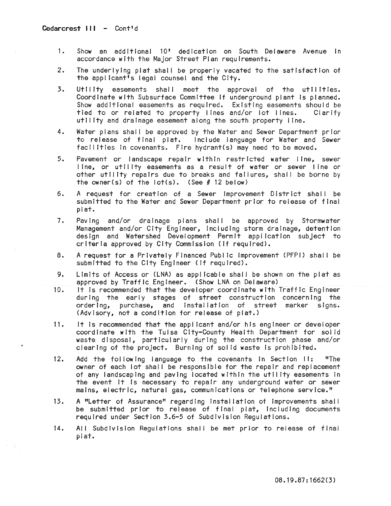- 1. Show an additional 10' dedication on South Delaware Avenue in accordance wIth the Major Street Plan requirements.
- 2. The underlying plat shall be properly vacated to the satisfaction of the appl icant's legal counsel and the City.
- 3. Utility easements shall meet the approval of the utilities. Coordinate with Subsurface Committee If underground plant Is planned. Show additional easements as required. Existing easements should be tied to or related to property lines and/or lot lines. Clarify utility and drainage easement along the south property line.
- 4. Water plans shall be approved by the Water and Sewer Department prior to release of final plat. Include language for Water and Sewer facilities In covenants. Fire hydrant(s) may need to be moved.
- 5. Pavement or landscape repair within restricted water line, sewer line, or utility easements as a result of water or sewer line or other utility repairs due to breaks and failures, shall be borne by the owner(s) of the  $\left| \text{ot}(s) \right|$ . (See # 12 below)
- 6. A request for creation of a Sewer Improvement District shall be submitted to the Water and Sewer Department prior to release of final plat.
- 7. Paving and/or drainage plans shall be approved by Stormwater Management and/or City Engineer, Including storm drainage, detention design and Watershed Development Permit application subject to criteria approved by City Commission (If required).
- 8. A request for a Privately Financed Public Improvement (PFPI) shall be submitted to the City Engineer (If required).
- 9. Limits of Access or (LNA) as applicable shall be shown on the plat as approved by Traffic Engineer. (Show LNA on Delaware)
- 10. It is recommended that the developer coordinate with Traffic Engineer during the early stages of street construction concerning the ordering, purchase, and installation of street marker signs. (Advisory, not a condition for release of plat.)
- 11. It Is recommended that the applicant and/or his engineer or developer coordinate with the Tulsa City-County Health Department for solid waste disposal, particularly during the construction phase and/or clearing of the project. Burning of solid waste is prohibited.
- 12. Add the following language to the covenants in Section II: "The owner of each lot shall be responsible for the repair and replacement of any landscaping and paving located within the utility easements In the event it is necessary to repair any underground water or sewer mains, electric, natural gas, communications or telephone service."
- 13. A "Letter of Assurance" regarding Installation of improvements shal I be submitted prior to release of final plat, including documents required under Section 3.6-5 of Subdivision Regulations.
- 14. All Subdivision Regulations shall be met prior to reiease of final plat.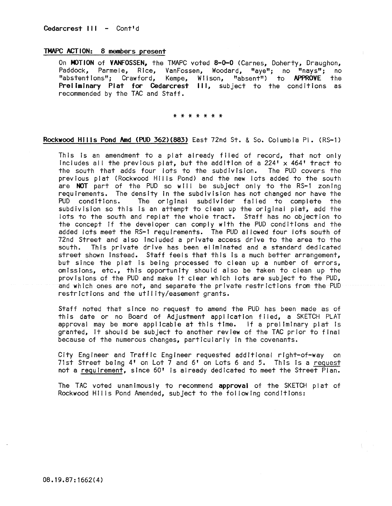# TMAPC ACTION: 8 members present

On MOTION of VANFOSSEN, the TMAPC voted 8-0-0 (Carnes, Doherty, Draughon, Paddock, Parmele, Rice, VanFossen, Woodard, "aye"; no "nays"; no "abstentions"; Crawford, Kempe, Wilson, "absent") to APPROVE the Preliminary Plat for Cedarcrest **III,** subject to the conditions as recommended by the TAC and Staff.

\* \* \* \* \* \* \*

## Rockwood Hills Pond Amd (PUD 362)(883) East 72nd St. & So. Columbia PI. (RS-l)

This is an amendment to a plat already filed of record, that not only includes all the previous plat, but the addition of a  $224' \times 464'$  tract to the south that adds four lots to the subdivision. The PUD covers the previous plat (Rockwood Hills Pond) and the new lots added to the south are NOT part of the PUD so will be subject only to the RS-1 zoning requirements. The density in the subdivision has not changed nor have the<br>PUD conditions. The original subdivider failed to complete the The original subdivider failed to complete the subdivision so this is an attempt to clean up the original plat, add the lots to the south and replat the whole tract. Staff has no objection to the concept If the developer can comply with the PUD conditions and the added lots meet the RS-l requirements. The PUD al lowed four lots south of 72nd Street and also Included a private access drive to the area to the south. This private drive has been eliminated and a standard dedicated street shown Instead. Staff feels that this Is a much better arrangement, but since the plat Is being processed to clean up a number of errors, omissions, etc., this opportunity should also be taken to clean up the provisions of the PUD and make It clear which lots are subject to the PUD, and which ones are not, and separate the private restrictions from the PUD restrictions and the utility/easement grants.

Staff noted that since no request to amend the PUD has been made as of this date or no Board of Adjustment application filed, a SKETCH PLAT approval may be more applicable at this time. If a preliminary plat Is granted, It should be subject to another review of the TAC prior to final because of the numerous changes, particularly in the covenants.

City Engineer and Traffic Engineer requested additional right-of-way on 71st Street being 4' on Lot 7 and 6' on Lots 6 and 5. This Is a request not a requirement, since 60' Is already dedicated to meet the Street Plan.

The TAC voted unanimously to recommend approval of the SKETCH plat of Rockwood HII Is Pond Amended, subject to the fol lowing conditions: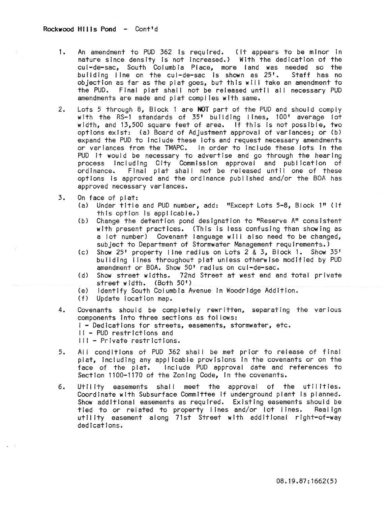- 1. An amendment to PUD 362 is required. (It appears to be minor in nature since density is not increased.) With the dedication of the cul-de-sac, South Columbia Place, more land was needed so the building line on the cul-de-sac is shown as 25'. Staff has no objection as far as the plat goes, but this wll I take an amendment to the PUD. Final plat shall not be released until all necessary PUD amendments are made and plat compiles with same.
- 2. Lots 5 through 8, Biock 1 are NOT part of the PUD and should comply with the RS-1 standards of 35' building lines, 100' average lot width, and 13,500 square feet of area. If this is not possible, two options exist: (a) Board of Adjustment approval of variances; or (b) expand the PUD to Include these lots and request necessary amendments or variances from the TMAPC. In order to Include these lots In the PUD it would be necessary to advertise and go through the hearing process Including City Commission approval and publication of ordinance. Final plat shall not be released until one of these options is approved and the ordinance published and/or the BOA has approved necessary variances.
- 3. On face of plat:
	- (a) Under title and PUD number, add: "Except Lots 5-8, Block 1" (If  $this$  option is applicable.)
	- (b) Change the detention pond designation to "Reserve A" consistent with present practices. (This is less confusing than showing as a lot number) Covenant language will also need to be changed, subject to Department of Stormwater Management requirements.)
	- (c) Show  $25^{\circ}$  property line radius on Lots 2 & 3, Biock 1. Show  $35^{\circ}$ building lines throughout plat unless otherwise modified by PUD amendment or BOA. Show 50' radius on cul-de-sac.
	- (d) Show street widths. 72nd Street at west end and total private street width. (Both 50')
	- (e) Identify South Columbia Avenue In Woodridge Addition.
	- (f) Update !ocatlon map.
- 4. Covenants should be completely rewritten, separating the various components into three sections as fol lows: I - Dedications for streets, easements, stormwater, etc.
	-
	- II PUD restrictions and
	- III Private restrictions.
- 5. All conditions of PUD 362 shall be met prior to release of final plat, including any applicable provisions in the covenants or on the face of the plat. Include PUD approval date and references to Section 1100-1170 of the Zoning Code, In the covenants.
- 6. Utility easements shall meet the approval of the utilities. Coordinate wIth Subsurface Committee If underground plant Is planned. Show additional easements as required. Existing easements should be tied to or related to property lines and/or lot lines. Realign utll tty easement along 71st Street wIth additional right-of-way dedlcat!ons.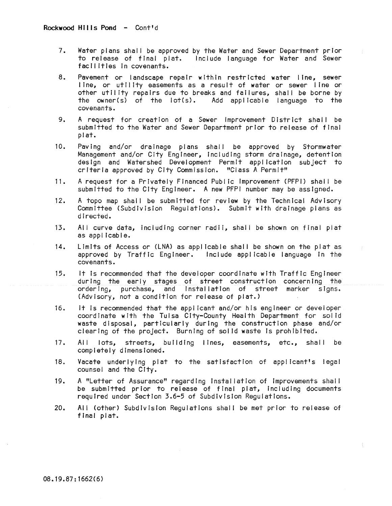- 7. Water plans shall be approved by the Water and Sewer Department prior to release of fInal plat. Include language for Water and Sewer facIlIties In covenants.
- 8. Pavement or landscape repair within restricted water line, sewer line, or utility easements as a result of water or sewer line or other utility repairs due to breaks and failures, shall be borne by<br>the owner(s) of the lot(s). Add applicable language to the Add applicable language to the covenants.
- 9. A request for creatIon of a Sewer Improvement DistrIct shall be submitted to the Water and Sewer Department prior to release of final plat.
- 10. Paving and/or drainage plans shal I be approved by Stormwater Management and/or City Engineer, including storm drainage, detention design and Watershed Development PermIt appl icatlon subject to crIteria approved by City Commission. "Class A Permit"
- 11. A request for a Privately Financed Public Improvement (PFPI) shal I be submitted to the City Engineer. A new PFPI number may be assigned.
- 12. A topo map shall be submitted for review by the Technical AdvIsory Committee (Subdivision Regulations). Submit with drainage plans as directed.
- 13. All curve data, including corner radii, shall be shown on final plat as applicable.
- 14. LimIts of Access or (LNA) as applicable shal I be shown on the plat as approved by Traffic Engineer. Include applicable language in the covenants.
- 15. It Is recommended that the developer coordinate with Traffic Engineer during the early stages of street construction concerning the ordering, purchase, and installation of street marker signs. (Advisory, not a condition for release of plat.)
- 16. it is recommended that the appi icant and/or his engineer or deveioper coord Inate with the Tulsa City-County Health Department for solid waste disposal, particularly during the construction phase and/or clearing of the project. Burning of solid waste is prohibited.
- 17. All lots, streets, building lines, easements, etc., shall be completely dimensioned.
- 18. Vacate under!ylng plat to the satisfaction of app! Icant's lega! counsel and the City.
- 19. A "Letter of Assurance" regarding Installation of Improvements shal I be submitted prior to release of final plat, including documents required under SectIon 3.6-5 of SubdIvIsion Regulations.
- 20. All (other) Subdivision Regulations shall be met prior to release of final plat.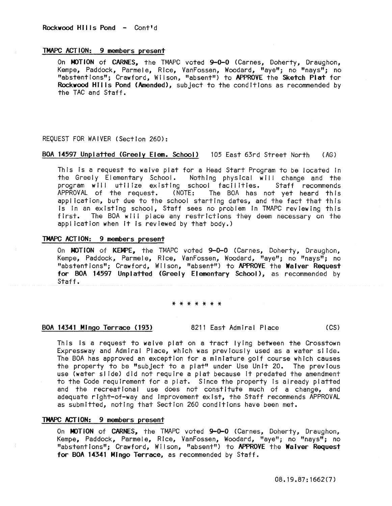# TMAPC ACTION: 9 members present

On MOTION of CARNES, the TMAPC voted 9-0-0 (Carnes, Doherty, Draughon, Kempe, Paddock, Parmele, Rice, VanFossen, Woodard, "aye"; no "nays"; no "abstentions"; Crawford, Wilson, "absent") to APPROVE the Sketch Plat for Rockwood Hills Pond (Amended), subject to the conditions as recommended by the TAC and Staff.

## REQUEST FOR WAIVER (Section 260):

## BOA 14597 Unplatted (Greely Elem. School) 105 East 63rd Street North ( AG)

This is a request to waive plat for a Head Start Program to be located In the Greely Elementary School. Nothing physical will change and the program will utilize existing school facilities. Staff recommends APPROVAL of the request. (NOTE: The BOA has not yet heard this application, but due to the school starting dates, and the fact that this Is in an existing school, Staff sees no problem in TMAPC reviewing this first. The BOA will place any restrictions they deem necessary on the appl icatlon when It is reviewed by that body.)

## TMAPC ACTION: 9 members present

On MOTION of KEMPE, the TMAPC voted 9-0-0 (Carnes, Doherty, Draughon, Kempe, Paddock, Parmele, Rice, VanFossen, Woodard, "aye"; no "nays"; no "abstentions"; Crawford, Wilson, "absent") to APPROVE the Waiver Request for BOA 14597 Unplatted (Greely Elementary School), as recommended by Staff.

#### \* \* \* \* \* \* \*

## BOA 14341 MIngo Terrace (193) 8211 East Admiral Place (CS)

This Is a request to waive plat on a tract lying between the Crosstown Expressway and Admiral Place, which was previously used as a water sl Ide. The BOA has approved an exception for a miniature golf course which causes the property to be "subject to a plat" under Use Unit 20. The previous use (water sl Ide) did not require a plat because It predated the amendment to the Code requirement for a plat. Since the property Is already platted and the recreational use does not constitute much of a change, and adequate right-of-way and Improvement exist, the Staff recommends APPROVAL as submitted, noting that Section 260 conditions have been met.

## TMAPC ACTION: 9 members present

On MOTION of CARNES, the TMAPC voted 9-0-0 (Carnes, Doherty, Draughon, Kempe, Paddock, Parmele, Rice, VanFossen, Woodard, "aye"; no "nays"; no "abstentions"; Crawford, Wilson, "absent") to APPROVE the Waiver Request for BOA 14341 Mingo Terrace, as recommended by Staff.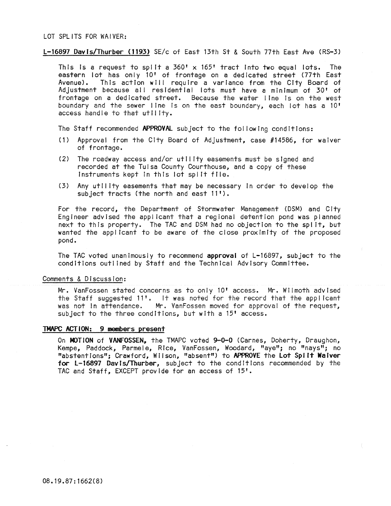LOT SPLITS FOR WAIVER:

l-16897 DavIs/Thurber (1193) SE/c of East 13th St & South 77th East Ave (RS-3)

This is a request to split a  $360' \times 165'$  tract into two equal lots. The eastern lot has only 10' of frontage on a dedicated street (77th East Avenue). This action will require a variance from the City Board of Adjustment because all residential lots must have a minimum of 30' of frontage on a dedicated street. Because the water line Is on the west boundary and the sewer line is on the east boundary, each lot has a 10' access handle to that utility.

The Staff recommended APPROVAl subject to the fol lowing conditions:

- (1) Approval from the City Board of Adjustment, case #14586, for waiver of frontage.
- (2) The roadway access and/or utility easements must be signed and recorded at the Tulsa County Courthouse, and a copy of these Instruments kept In this lot spl It file.
- (3) Any utility easements that may be necessary in order to develop the subject tracts (the north and east 11').

For the record, the Department of Stormwater Management (DSM) and City Engineer advised the applicant that a regional detention pond was planned next to this property. The TAC and DSM had no objection to the spl It, but wanted the applicant to be aware of the close proxImity of the proposed pond.

The TAC voted unanimously to recommend approval of L-16897, subject to the conditions outl ined by Staff and the Technical Advisory Committee.

Comments & Discussion:

Mr. VanFossen stated concerns as to only 10' access. Mr. Wilmoth advised the Staff suggested  $11'$ . It was noted for the record that the applicant was not in attendance. Mr. VanFossen moved for approval of the request, subject to the three conditions, but with a 15' access.

## TMAPC ACTION: 9 members present

On MOTION of VANfOSSEN, the TMAPC voted 9-0-0 (Carnes, Doherty, Draughon, Kempe, Paddock, Parmele, Rice, VanFossen, Woodard, "aye"; no "nays"; no "abstentions"; Crawford, Wilson, "absent") to APPROVE the lot Spilt Waiver for L-16897 Davis/Thurber, subject to the conditions recommended by the TAC and Staff, EXCEPT provide for an access of 15'.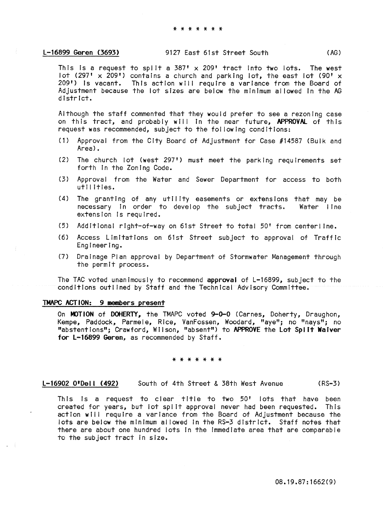This is a request to split a  $387' \times 209'$  tract into two lots. The west lot (297'  $\times$  209') contains a church and parking lot, the east lot (90'  $\times$ 209') Is vacant. This action will require a variance from the Board of Adjustment because the lot sizes are below the minimum al lowed In the AG dIstrict.

Although the staff commented that they would prefer to see a rezoning case on this tract, and probably will in the near future, APPROVAL of this request was recommended, subject to the fol lowing conditions:

- (1) Approval from the City Board of Adjustment for Case #14587 (Bulk and Area).
- (2) The church lot (west 297') must meet the parking requirements set forth In the Zoning Code.
- (3) Approval from the Water and Sewer Department for access to both utilities.
- (4) The granting of any utility easements or extensions that may be necessary in order to develop the subject tracts. Water line extension is required.
- (5) Additional right-of-way on 61st Street to total 50' from center I lne.
- (6) Access Limitations on 61st Street subject to approval of Traffic Engineering.
- (7) Drainage Plan approval by Department of Stormwater Management through the permit process.

The TAC voted unanimously to recommend approval of L-16899, subject to the conditions outlined by Staff and the Technical Advisory Committee.

## TMAPC ACTION: 9 members present

On MOTION of DOHERTY, the TMAPC voted 9-0-0 (Carnes, Doherty, Draughon, Kempe, Paddock, Parmele, Rice, VanFossen, Woodard, "aye"; no "nays"; no "abstentions"; Crawford, Wilson, "absent") to APPROVE the Lot Splft Waiver for L-16899 Geren, as recommended by Staff.

#### \* \* \* \* \* \* \*

L-16902 O'Dell (492) South of 4th Street & 38th West Avenue (RS-3)

This Is a request to clear title to two 50' lots that have been created for years, but lot spl It approval never had been requested. This action will require a variance from the Board of Adjustment because the lots are below the mInImum al lowed In the RS-3 district. Staff notes that there are about one hundred lots In the Immediate area that are comparable to the subject tract in size.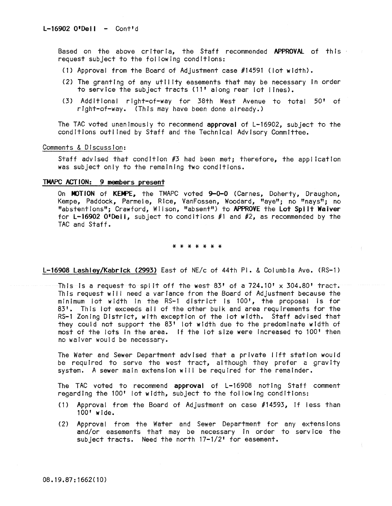Based on the above criteria, the Staff recommended APPROVAL of this request subject to the fol lowing conditions:

- (1) Approval from the Board of Adjustment case #14591 (lot width).
- (2) The granting of any utility easements that may be necessary In order to service the subject tracts (11' along rear lot lines).
- (3) Additional right-of-way for 38th West Avenue to total 50' of right-of-way. (This may have been done already.)

The TAC voted unanimously to recommend approval of L-16902, subject to the conditions outlined by Staff and the Technical Advisory Committee.

## Comments & Discussion:

Staff advised that condition #3 had been met; therefore, the application was subject only to the remaining two conditions.

# TMAPC ACTION: 9 members present

On MOTION of KEMPE, the TMAPC voted 9-0-0 (Carnes, Doherty, Draughon, Kempe, Paddock, Parmele, Rice, VanFossen, Woodard, "aye"; no "nays"; no "abstentions"; Crawford, Wiison, "absent") to APPROVE the Lot Spiit Waiver for L-16902 O'Dell, subject to conditions #1 and #2, as recommended by the TAC and Staff.

#### \* \* \* \* \* \* \*

L-16908 Lashley/Kabrlck (2993) East of NE/c of 44th PI. & Columbia Ave. (RS-l)

This is a request to split off the west  $83!$  of a  $724.10! \times 304.80!$  tract. This request wi!! need a variance from the Board of Adjustment because the minimum lot width in the RS-1 district is 100<sup>t</sup>, the proposal is for 83'. This lot exceeds all of the other bulk and area requirements for the RS-l Zoning District, with exception of the lot width. Staff advised that they could not support the 83' lot width due to the predominate width of most of the lots In the area. If the lot size were Increased to 100' then no waiver would be necessary.

The Water and Sewer Department advised that a private 11ft station would be required to serve the west tract, although they prefer a gravity system. A sewer main extension will be required for the remainder.

The TAC voted to recommend approval of L-16908 noting Staff comment regarding the 100' lot width, subject to the fol lowing conditions:

- (1) Approval from the Board of Adjustment on case #14593, If Jess than 100' wide.
- (2) Approval from the Water and Sewer Department for any extensions and/or easements that may be necessary In order to service the subject tracts. Need the north 17-1/2' for easement.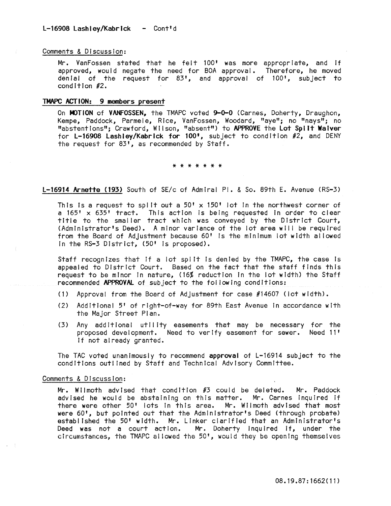## Comments & Discussion:

Mr. VanFossen stated that he felt 100' was more appropriate, and if approved, would negate the need for BOA approval. Therefore, he moved denial of the request for 83', and approval of 100', subject to condition #2.

# TMAPC ACTION: 9 members present

On MOTION of VANFOSSEN, the TMAPC voted 9-0-0 (Carnes, Doherty, Draughon, Kempe, Paddock, Parmele, Rice, VanFossen, Woodard, "aye"; no "nays"; no "abstentions"; Crawford, Wilson, "absent") to APPROVE the Lot Split Waiver for L-16908 Lashley/Kabrick for 100<sup> $\bullet$ </sup>, subject to condition  $\#2$ , and DENY the request for 83', as recommended by Staff.

\* \* \* \* \* \* \*

L-16914 Arnette (193) South of SE/c of Admiral PI. & So. 89th E. Avenue (RS-3)

This is a request to split out a  $50' \times 150'$  lot in the northwest corner of a 165' x 635' tract. This action Is being requested In order to clear title to the smaller tract which was conveyed by the District Court, (Administrator's Deed). A minor variance of the lot area will be required from the Board of Adjustment because 60' Is the minimum lot width al lowed in the RS-3 District, (50' is proposed).

Staff recognizes that if a lot split is denied by the TMAPC, the case is appealed to District Court. Based on the fact that the staff finds this request to be minor In nature, (16% reduction In the lot width) the Staff recommended APPROVAl of subject to the fol lowing conditions:

- (1) Approval from the Board of Adjustment for case #14607 (lot width).
- (2) Addlt!ona! 5' of right-of-way for 89th East Avenue In accordance with the Major Street Plan.
- (3) Any additional utIlIty easements that may be necessary for the proposed development. Need to verify easement for sewer. Need 11' If not already granted.

The TAC voted unanimously to recommend approval of L-16914 subject to the conditions outlined by Staff and Technical Advisory Committee.

#### Comments & Discussion:

Mr. Wilmoth advised that condition  $#3$  could be deleted. Mr. Paddock advised he would be abstaining on this matter. Mr. Carnes inquired if there were other 50' lots in this area. Mr. Wilmoth advised that most were 60', but pointed out that the Administrator's Deed (through probate) established the 50' width. Mr. Linker clarified that an Administrator's Deed was not a court action. Mr. Doherty Inquired If, under the circumstances, the TMAPC allowed the 50', would they be opening themselves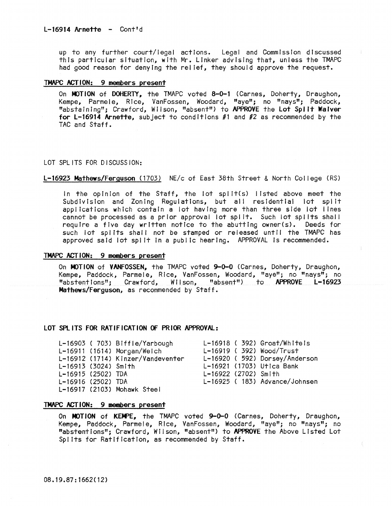up to any further court/legal actions. Legal and Commission discussed this particular situation, with Mr. Linker advising that, unless the TMAPC had good reason for denying the relief, they should approve the request.

# TMAPC ACTION: 9 members present

On MOTION of DOHERTY, the TMAPC voted 8-0-1 (Carnes, Doherty, Draughon, Kempe, Parmele, Rice, VanFossen, Woodard, Itaye"; no "nays"; Paddock, "abstaining"; Crawford, Wilson, "absent") to APPROVE the Lot Split Waiver for L-16914 Arnette, subject to conditions  $#1$  and  $#2$  as recommended by the TAC and Staff.

## LOT SPLITS FOR DISCUSSION:

## L-16923 Mathews/Ferguson (1703) NE/c of East 38th Street & North Col lege (RS)

In the opinion of the Staff, the lot spllt(s) listed above meet the Subdivision and Zoning Regulations, but all residential lot split applications which contain a lot having more than three side lot lines cannot be processed as a prior approval lot spl It. Such lot spl Its shal I require a five day written notice to the abutting owner(s). Deeds for such lot splits shall not be stamped or released until the TMAPC has approved said lot spl It In a public hearing. APPROVAL Is recommended.

## TMAPC ACTION: 9 members present

On MOTION of VANFOSSEN, the TMAPC voted 9-0-0 (Carnes, Doherty, Draughon, Kempe, Paddock, Parmele, Rice, VanFossen, Woodard, flaye"; no "nays"; no "abstentions"; Crawford, Wilson, "absent") to APPROVE L-16923 Mathews/Ferquson, as recommended by Staff.

## LOT SPL ITS FOR RATIFICATION OF PRIOR APPROVAl:

|                      | L-16903 (703) Biffle/Yarbough     |                      | $L-16918$ (392) Groat/Whiteis  |
|----------------------|-----------------------------------|----------------------|--------------------------------|
|                      | L-16911 (1614) Morgan/Welch       |                      | L-16919 ( 392) Wood/Trust      |
|                      | L-16912 (1714) Kinzer/Vandeventer |                      | L-16920 ( 592) Dorsey/Anderson |
| L-16913 (3024) Smith |                                   |                      | L-16921 (1703) Utica Bank      |
| L-16915 (2502) TDA   |                                   | L-16922 (2702) Smith |                                |
| L-16916 (2502) TDA   |                                   |                      | L-16925 (183) Advance/Johnsen  |
|                      | L-16917 (2103) Mohawk Steel       |                      |                                |
|                      |                                   |                      |                                |

## TMAPC ACT ION: 9 members present

On MOTION of KEMPE, the TMAPC voted 9-0-0 (Carnes, Doherty, Draughon, Kempe, Paddock, Parmele, Rice, VanFossen, Woodard, "aye"; no "nays"; no "abstentions"; Crawford, Wilson, "absent") to APPROVE the Above Listed Lot Spl Its for Ratification, as recommended by Staff.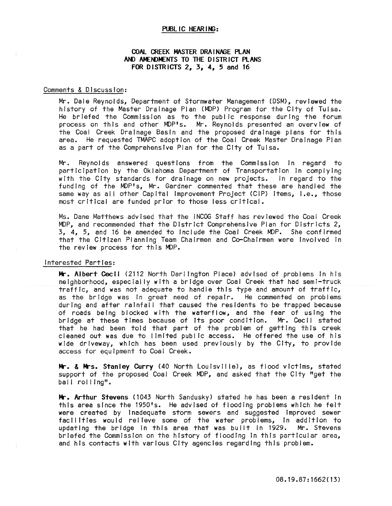## PUBLIC HEARING:

# COAL CREEK MASTER DRAINAGE PLAN AND AMENDMENTS TO THE DISTRICT PLANS FOR DISTRICTS 2, 3, 4, 5 and 16

## Comments & DIscussIon:

Mr. Dale Reynolds, Department of Stormwater Management (DSM), revIewed the history of the Master Drainage Plan (MOP) Program for the City of Tulsa. He briefed the Commission as to the public response during the forum process on this and other MDP's. Mr. Reynolds presented an overview of the Coal Creek Drainage Basin and the proposed drainage plans for this area. He requested TMAPC adoption of the Coal Creek Master DraInage Plan as a part of the ComprehensIve Plan for the City of Tulsa.

Mr. Reynolds answered questions from the CommissIon In regard to participation by the Oklahoma Department of Transportation in complying with the City standards for drainage on new projects. In regard to the funding of the MDP's, Mr. Gardner commented that these are handled the same way as all other Capital Improvement Project (CIP) items, i.e., those most critical are funded prior to those less critical.

Ms. Dane Matthews advised that the INCOG Staff has reviewed the Coal Creek MOP, and recommended that the DistrIct Comprehensive Plan for Districts 2, 3, 4, 5, and 16 be amended to Include the Coal Creek MOP. She confirmed that the Citizen Planning Team Chairmen and Co-Chairmen were Involved In the review process for this MOP.

## Interested Parties:

Mr. Albert Cecil (2112 North Darlington Place) advised of problems In his neighborhood, especIally wIth a brIdge over Coal Creek that had semI-truck traffic, and was not adequate to handle this type and amount of traffic, as the bridge was in great need of repair. He commented on problems during and after rainfall that caused the residents to be trapped because of roads being blocked with the waterflow, and the fear of using the bridge at these times because of Its poor condItIon. Mr. Cecil stated that he had been told that part of the problem of getting this creek cleaned out was due to limited public access. He offered the use of his wide driveway, which has been used previously by the City, to provide access for equipment to Coal Creek.

Mr. & Mrs. Stanley Curry (40 North Louisville), as flood victims, stated support of the proposed Coal Creek MDP, and asked that the City "get the ball roiling".

Mr. Arthur Stevens (1043 North Sandusky) stated he has been a resident in this area since the 1950's. He advIsed of flooding problems whIch he felt were created by Inadequate storm sewers and suggested Improved sewer facIlitIes would relieve some of the water problems, In addition to updating the bridge in this area that was built in 1929. Mr. Stevens briefed the CommissIon on the hIstory of flooding in this partIcular area, and his contacts wIth various City agencies regarding this problem.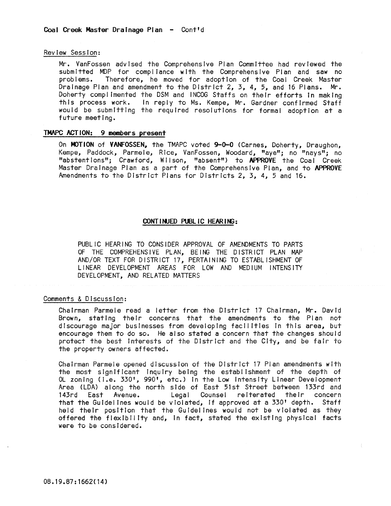## Review Session:

Mr. VanFossen advised the Comprehensive Plan Committee had reviewed the submitted MDP for compliance with the Comprehensive Plan and saw no problems. Therefore, he moved for adoptIon of the Coal Creek Master Drainage Plan and amendment to the District 2, 3, 4, 5, and 16 Plans. Mr. Doherty complimented the DSM and INCOG Staffs on their efforts in making this process work. In reply to Ms. Kempe, Mr. Gardner confirmed Staff would be submitting the required resolutions for formal adoption at a future meeting.

## TMAPC ACTION: 9 members present

On MOTION of VANFOSSEN, the TMAPC voted 9-0-0 (Carnes, Doherty, Draughon, Kempe, Paddock, Parmele, Rice, VanFossen, Woodard, "aye"; no "nays"; no "abstentIons"; Crawford, Wilson, "absent") to APPROVE the Coal Creek Master Drainage Plan as a part of the ComprehensIve Plan, and to APPROVE Amendments to the District Plans for Districts 2, 3, 4, 5 and 16.

## CONT I NUED PUBLIC HEAR ING:

PUBLIC HEARING TO CONSIDER APPROVAL OF AMENDMENTS TO PARTS OF THE COMPREHENSIVE PLAN, BEING THE DISTRICT PLAN MAP AND/OR TEXT FOR DISTRICT 17, PERTAINING TO ESTABLISHMENT OF LINEAR DEVELOPMENT AREAS FOR LOW AND MEDIUM INTENSITY DEVELOPMENT, AND RELATED MATTERS

## Comments & Discussion:

Chairman Parmele read a letter from the District 17 Chairman, Mr. David Brown, stating their concerns that the amendments to the Plan not dIscourage major businesses from developing facil itles In this area, but encourage them to do so. He also stated a concern that the changes should protect the best interests of the District and the City, and be fair to the property owners affected.

Chairman Parmeie opened discussion of the District 17 Plan amendments with the most significant inquiry being the establishment of the depth of OL zoning (i.e. 330', 990', etc.) in the Low Intensity Linear Development Area (LDA) along the north side of East 51st Street between 133rd and 143rd East Avenue. Legal Counsel reiterated their concern that the Guidelines would be violated, If approved at a 330' depth. Staff held their position that the Guidelines would not be violated as they offered the flexibility and, In fact, stated the existing physical facts were to be considered.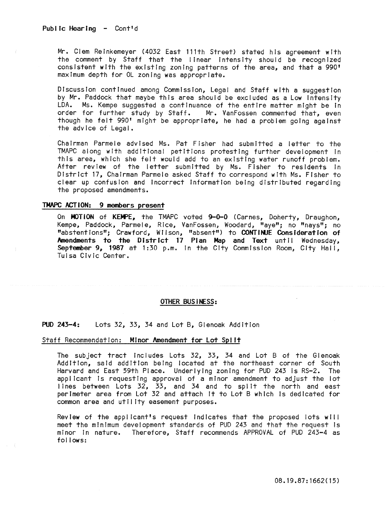Mr. Clem Relnkemeyer (4032 East l11th Street) stated his agreement with the comment by Staff that the linear intensity should be recognized consistent with the existing zoning patterns of the area, and that a 990' maximum depth for OL zoning was appropriate.

Discussion continued among Commission, Legal and Staff with a suggestion by Mr. Paddock that maybe this area should be excluded as a Low Intensity LDA. Ms. Kempe suggested a continuance of the entire matter might be In order for further study by Staff. Mr. VanFossen commented that, even though he felt 990' might be appropriate, he had a problem going against the advice of Legal.

Chairman Parmele advised Ms. Pat Fisher had submitted a letter to the TMAPC along with additional petitions protesting further development in this area, which she felt would add to an existing water runoff problem. After review of the letter submitted by Ms. Fisher to residents In District 17, Chairman Parmele asked Staff to correspond with Ms. Fisher to clear up confusion and incorrect Information being distributed regarding the proposed amendments.

### **TMAPC ACTION:** 9 members present

On MOTION of KEMPE, the TMAPC voted 9-0-0 (Carnes, Doherty, Draughon, Kempe, Paddock, Parmele, Rice, VanFossen, Woodard, "aye"; no "nays"; no "abstentions"; Crawford, WII son, "absent") to CONTINJE Consideration of Amendments **to the** District 17 Plan Map and Text until Wednesday, September 9, 1987 at 1:30 p.m. in the City Commission Room, City Hall, Tulsa Civic Center.

#### OTHER BUS INESS:

## PUD 243-4: Lots 32, 33, 34 and Lot B, Glenoak Addition

#### Staff Recommendation: Minor Amendment for Lot Split

The subject tract Includes Lots 32, 33, 34 and Lot B of the Glenoak Addition, said addition beIng located at the northeast corner of South Harvard and East 59th Place. Underlying zoning for PUD 243 is RS-2. The applicant Is requesting approval of a minor amendment to adjust the lot lines between Lots 32, 33, and 34 and to spilt the north and east perimeter area from Lot 32 and attach It to Lot B which Is dedicated for common area and utility easement purposes.

Review of the applicant's request indicates that the proposed lots will meet the minimum development standards of PUD 243 and that the request Is minor in nature. Therefore, Staff recommends APPROVAL of PUD 243-4 as follows: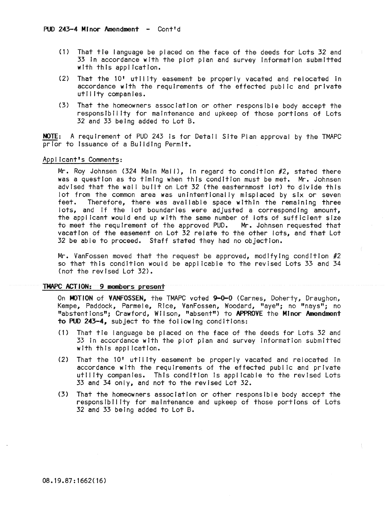- (1) That tie language be placed on the face of the deeds for Lots 32 and 33 In accordance with the plot plan and survey Information submitted with this appl icatlon.
- (2) That the 10' utility easement be properly vacated and relocated in accordance with the requirements of the effected public and private utility companies.
- (3) That the homeowners association or other responsIble body accept the responsibility for maintenance and upkeep of those portions of Lots 32 and 33 being added to Lot B.

NOTE: A requirement of PUD 243 Is for Detail Site Plan approval by the TMAPC prior to Issuance of a Building Permit.

# Applicant's Comments:

Mr. Roy Johnsen (324 Main Mall), In regard to condition #2, stated there was a question as to timing when this condition must be met. Mr. Johnsen advised that the wall built on Lot 32 (the easternmost lot) to divide this lot from the common area was unintentionally misplaced by six or seven feet. Therefore, there was available space within the remaining three lots, and If the lot boundaries were adjusted a corresponding amount, the applicant would end up with the same number of lots of sufficient size<br>to meet the requirement of the approved PUD. Mr. Johnsen requested that to meet the requirement of the approved PUD. vacation of the easement on Lot 32 relate to the other lots, and that Lot 32 be able to proceed. Staff stated they had no objection.

Mr. VanFossen moved that the request be approved, modifying condition  $\#2$ so that this condition would be appl icable to the revised Lots 33 and 34 (not the revised Lot 32).

#### TMAPC ACTION: 9 members present

On MOTION of VANFOSSEN, the TMAPC voted 9-0-0 (Carnes, Doherty, Draughon, Kempe, Paddock, Parmele, Rice, VanFossen, Woodard, "aye"; no "nays"; no "abstentions"; Crawford, Wilson, "absent") to APPROVE the Minor Amendment to PUO 243-4, subject to the fol lowing conditions:

- (1) That tIe language be placed on the face of the deeds for Lots 32 and 33 In accordance with the plot plan and survey Information submitted with this application.
- (2) That the 10' utility easement be properly vacated and relocated in accordance with the requirements of the effected public and private utility companies. This condition Is applicable to the revised Lots 33 and 34 only, and not to the revised Lot 32.
- (3) That the homeowners association or other responsible body accept the responsibility for maintenance and upkeep of those portions of Lots 32 and 33 being added to Lot B.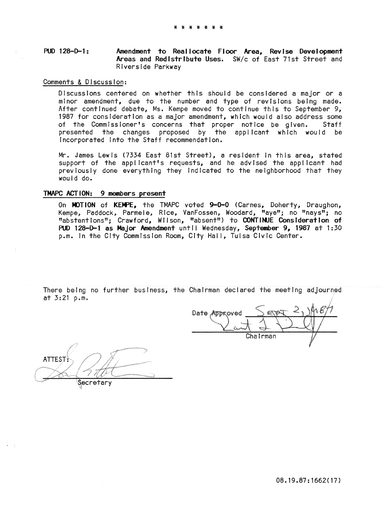#### PUD 128-0-1: Amendment to Reallocate Floor Area, Revise Development Areas and RedIstribute Uses. SW/c of East 71st Street and Riverside Parkway

## Comments & Discussion:

Discussions centered on whether this should be considered a major or a minor amendment, due to the number and type of revisions being made. After continued debate, Ms. Kempe moved to continue this to September 9, 1987 for consideration as a major amendment, which would also address some of the Commissioner's concerns that proper notice be given. Staff presented the changes proposed by the applicant which would be Incorporated Into the Staff recommendation.

Mr. James Lewis (7334 East 81st Street), a resident In this area, stated support of the applicant's requests, and he advised the appl icant had previously done everything they indicated to the neighborhood that they would do.

# TMAPC ACTION: 9 members present

On MOTION of KEMPE, the TMAPC voted 9-0-0 (Carnes, Doherty, Draughon, Kempe, Paddock, Parmele, Rice, VanFossen, Woodard, "aye"; no "nays"; no "abstentions"; Crawford, Wilson, "absent") to CONTINUE Consideration of PUD 128-D-1 as Major Amendment until Wednesday, September 9, 1987 at 1:30 p.m. in the City Commission Room, City Hall, Tulsa Civic Center.

There being no further business, the Chairman declared the meeting adjourned at 3:21 p.m.

Date Approved Chairman  $\frac{1}{2}$ 

**ATTEST** Secretary